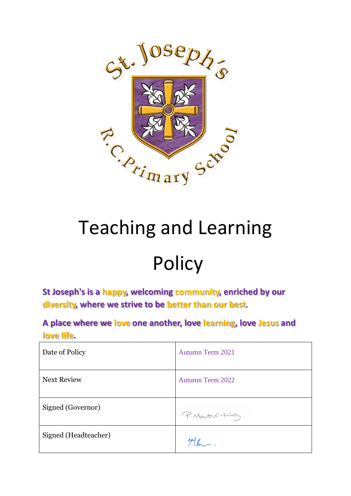

# Teaching and Learning

## **Policy**

**St Joseph's is a happy, welcoming community, enriched by our diversity, where we strive to be better than our best.**

**A place where we love one another, love learning, love Jesus and love life.**

| Date of Policy       | Autumn Term 2021        |
|----------------------|-------------------------|
| <b>Next Review</b>   | <b>Autumn Term 2022</b> |
| Signed (Governor)    | P. Martin-King.         |
| Signed (Headteacher) |                         |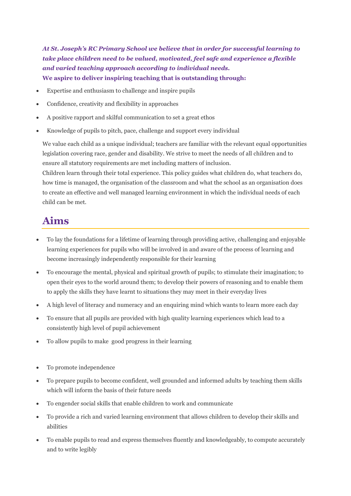*At St. Joseph's RC Primary School we believe that in order for successful learning to take place children need to be valued, motivated, feel safe and experience a flexible and varied teaching approach according to individual needs.* **We aspire to deliver inspiring teaching that is outstanding through:**

- Expertise and enthusiasm to challenge and inspire pupils
- Confidence, creativity and flexibility in approaches
- A positive rapport and skilful communication to set a great ethos
- Knowledge of pupils to pitch, pace, challenge and support every individual

We value each child as a unique individual; teachers are familiar with the relevant equal opportunities legislation covering race, gender and disability. We strive to meet the needs of all children and to ensure all statutory requirements are met including matters of inclusion.

Children learn through their total experience. This policy guides what children do, what teachers do, how time is managed, the organisation of the classroom and what the school as an organisation does to create an effective and well managed learning environment in which the individual needs of each child can be met.

## **Aims**

- To lay the foundations for a lifetime of learning through providing active, challenging and enjoyable learning experiences for pupils who will be involved in and aware of the process of learning and become increasingly independently responsible for their learning
- To encourage the mental, physical and spiritual growth of pupils; to stimulate their imagination; to open their eyes to the world around them; to develop their powers of reasoning and to enable them to apply the skills they have learnt to situations they may meet in their everyday lives
- A high level of literacy and numeracy and an enquiring mind which wants to learn more each day
- To ensure that all pupils are provided with high quality learning experiences which lead to a consistently high level of pupil achievement
- To allow pupils to make good progress in their learning
- To promote independence
- To prepare pupils to become confident, well grounded and informed adults by teaching them skills which will inform the basis of their future needs
- To engender social skills that enable children to work and communicate
- To provide a rich and varied learning environment that allows children to develop their skills and abilities
- To enable pupils to read and express themselves fluently and knowledgeably, to compute accurately and to write legibly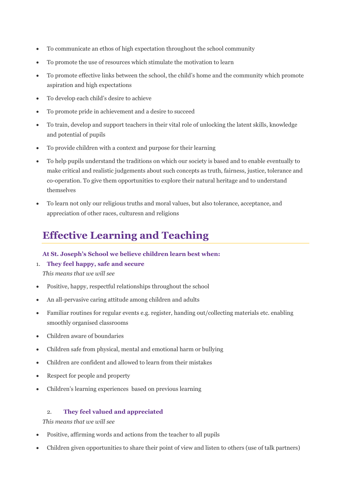- To communicate an ethos of high expectation throughout the school community
- To promote the use of resources which stimulate the motivation to learn
- To promote effective links between the school, the child's home and the community which promote aspiration and high expectations
- To develop each child's desire to achieve
- To promote pride in achievement and a desire to succeed
- To train, develop and support teachers in their vital role of unlocking the latent skills, knowledge and potential of pupils
- To provide children with a context and purpose for their learning
- To help pupils understand the traditions on which our society is based and to enable eventually to make critical and realistic judgements about such concepts as truth, fairness, justice, tolerance and co-operation. To give them opportunities to explore their natural heritage and to understand themselves
- To learn not only our religious truths and moral values, but also tolerance, acceptance, and appreciation of other races, culturesn and religions

## **Effective Learning and Teaching**

## **At St. Joseph's School we believe children learn best when:**

1. **They feel happy, safe and secure**

*This means that we will see*

- Positive, happy, respectful relationships throughout the school
- An all-pervasive caring attitude among children and adults
- Familiar routines for regular events e.g. register, handing out/collecting materials etc. enabling smoothly organised classrooms
- Children aware of boundaries
- Children safe from physical, mental and emotional harm or bullying
- Children are confident and allowed to learn from their mistakes
- Respect for people and property
- Children's learning experiences based on previous learning

#### 2. **They feel valued and appreciated**

- Positive, affirming words and actions from the teacher to all pupils
- Children given opportunities to share their point of view and listen to others (use of talk partners)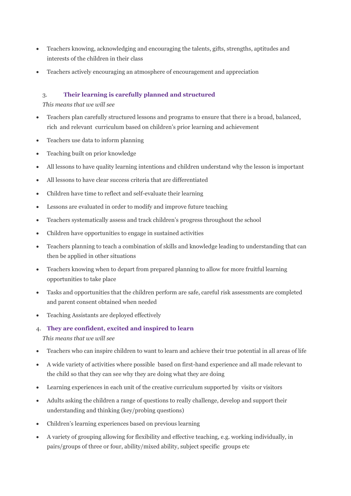- Teachers knowing, acknowledging and encouraging the talents, gifts, strengths, aptitudes and interests of the children in their class
- Teachers actively encouraging an atmosphere of encouragement and appreciation

#### 3. **Their learning is carefully planned and structured**

- Teachers plan carefully structured lessons and programs to ensure that there is a broad, balanced, rich and relevant curriculum based on children's prior learning and achievement
- Teachers use data to inform planning
- Teaching built on prior knowledge
- All lessons to have quality learning intentions and children understand why the lesson is important
- All lessons to have clear success criteria that are differentiated
- Children have time to reflect and self-evaluate their learning
- Lessons are evaluated in order to modify and improve future teaching
- Teachers systematically assess and track children's progress throughout the school
- Children have opportunities to engage in sustained activities
- Teachers planning to teach a combination of skills and knowledge leading to understanding that can then be applied in other situations
- Teachers knowing when to depart from prepared planning to allow for more fruitful learning opportunities to take place
- Tasks and opportunities that the children perform are safe, careful risk assessments are completed and parent consent obtained when needed
- Teaching Assistants are deployed effectively
- 4. **They are confident, excited and inspired to learn** *This means that we will see*
- Teachers who can inspire children to want to learn and achieve their true potential in all areas of life
- A wide variety of activities where possible based on first-hand experience and all made relevant to the child so that they can see why they are doing what they are doing
- Learning experiences in each unit of the creative curriculum supported by visits or visitors
- Adults asking the children a range of questions to really challenge, develop and support their understanding and thinking (key/probing questions)
- Children's learning experiences based on previous learning
- A variety of grouping allowing for flexibility and effective teaching, e.g. working individually, in pairs/groups of three or four, ability/mixed ability, subject specific groups etc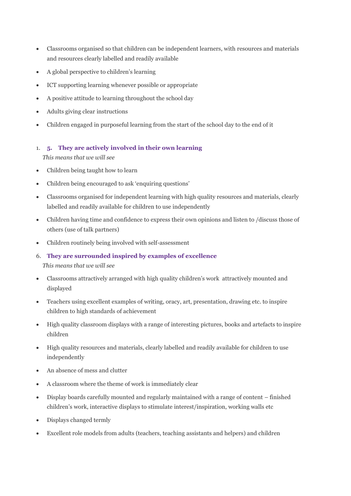- Classrooms organised so that children can be independent learners, with resources and materials and resources clearly labelled and readily available
- A global perspective to children's learning
- ICT supporting learning whenever possible or appropriate
- A positive attitude to learning throughout the school day
- Adults giving clear instructions
- Children engaged in purposeful learning from the start of the school day to the end of it
- 1. **5. They are actively involved in their own learning**

*This means that we will see*

- Children being taught how to learn
- Children being encouraged to ask 'enquiring questions'
- Classrooms organised for independent learning with high quality resources and materials, clearly labelled and readily available for children to use independently
- Children having time and confidence to express their own opinions and listen to /discuss those of others (use of talk partners)
- Children routinely being involved with self-assessment
- 6. **They are surrounded inspired by examples of excellence**

- Classrooms attractively arranged with high quality children's work attractively mounted and displayed
- Teachers using excellent examples of writing, oracy, art, presentation, drawing etc. to inspire children to high standards of achievement
- High quality classroom displays with a range of interesting pictures, books and artefacts to inspire children
- High quality resources and materials, clearly labelled and readily available for children to use independently
- An absence of mess and clutter
- A classroom where the theme of work is immediately clear
- Display boards carefully mounted and regularly maintained with a range of content finished children's work, interactive displays to stimulate interest/inspiration, working walls etc
- Displays changed termly
- Excellent role models from adults (teachers, teaching assistants and helpers) and children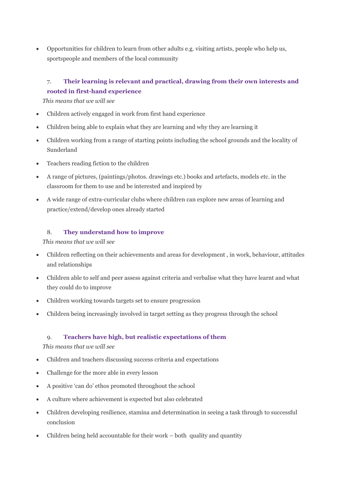• Opportunities for children to learn from other adults e.g. visiting artists, people who help us, sportspeople and members of the local community

## 7. **Their learning is relevant and practical, drawing from their own interests and rooted in first-hand experience**

*This means that we will see*

- Children actively engaged in work from first hand experience
- Children being able to explain what they are learning and why they are learning it
- Children working from a range of starting points including the school grounds and the locality of Sunderland
- Teachers reading fiction to the children
- A range of pictures, (paintings/photos. drawings etc.) books and artefacts, models etc. in the classroom for them to use and be interested and inspired by
- A wide range of extra-curricular clubs where children can explore new areas of learning and practice/extend/develop ones already started

#### 8. **They understand how to improve**

#### *This means that we will see*

- Children reflecting on their achievements and areas for development , in work, behaviour, attitudes and relationships
- Children able to self and peer assess against criteria and verbalise what they have learnt and what they could do to improve
- Children working towards targets set to ensure progression
- Children being increasingly involved in target setting as they progress through the school

#### 9. **Teachers have high, but realistic expectations of them**

- Children and teachers discussing success criteria and expectations
- Challenge for the more able in every lesson
- A positive 'can do' ethos promoted throughout the school
- A culture where achievement is expected but also celebrated
- Children developing resilience, stamina and determination in seeing a task through to successful conclusion
- Children being held accountable for their work both quality and quantity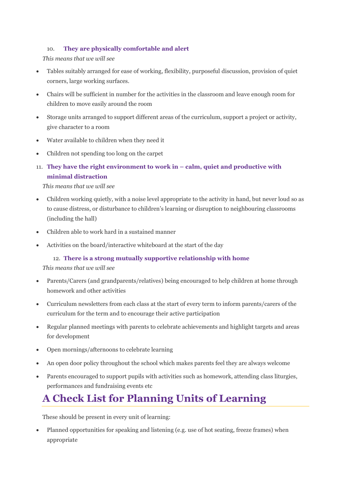#### 10. **They are physically comfortable and alert**

*This means that we will see*

- Tables suitably arranged for ease of working, flexibility, purposeful discussion, provision of quiet corners, large working surfaces.
- Chairs will be sufficient in number for the activities in the classroom and leave enough room for children to move easily around the room
- Storage units arranged to support different areas of the curriculum, support a project or activity, give character to a room
- Water available to children when they need it
- Children not spending too long on the carpet
- 11. **They have the right environment to work in – calm, quiet and productive with minimal distraction**

*This means that we will see*

- Children working quietly, with a noise level appropriate to the activity in hand, but never loud so as to cause distress, or disturbance to children's learning or disruption to neighbouring classrooms (including the hall)
- Children able to work hard in a sustained manner
- Activities on the board/interactive whiteboard at the start of the day

## 12. **There is a strong mutually supportive relationship with home**

*This means that we will see*

- Parents/Carers (and grandparents/relatives) being encouraged to help children at home through homework and other activities
- Curriculum newsletters from each class at the start of every term to inform parents/carers of the curriculum for the term and to encourage their active participation
- Regular planned meetings with parents to celebrate achievements and highlight targets and areas for development
- Open mornings/afternoons to celebrate learning
- An open door policy throughout the school which makes parents feel they are always welcome
- Parents encouraged to support pupils with activities such as homework, attending class liturgies, performances and fundraising events etc

## **A Check List for Planning Units of Learning**

These should be present in every unit of learning:

• Planned opportunities for speaking and listening (e.g. use of hot seating, freeze frames) when appropriate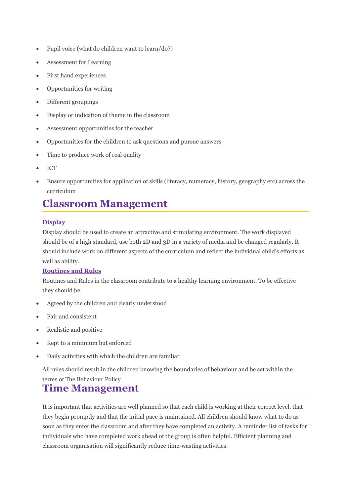- Pupil voice (what do children want to learn/do?)
- Assessment for Learning
- First hand experiences
- Opportunities for writing
- Different groupings
- Display or indication of theme in the classroom
- Assessment opportunities for the teacher
- Opportunities for the children to ask questions and pursue answers
- Time to produce work of real quality
- ICT
- Ensure opportunities for application of skills (literacy, numeracy, history, geography etc) across the curriculum

## **Classroom Management**

## **Display**

Display should be used to create an attractive and stimulating environment. The work displayed should be of a high standard, use both 2D and 3D in a variety of media and be changed regularly. It should include work on different aspects of the curriculum and reflect the individual child's efforts as well as ability.

## **Routines and Rules**

Routines and Rules in the classroom contribute to a healthy learning environment. To be effective they should be:

- Agreed by the children and clearly understood
- Fair and consistent
- Realistic and positive
- Kept to a minimum but enforced
- Daily activities with which the children are familiar

All rules should result in the children knowing the boundaries of behaviour and be set within the terms of The Behaviour Policy

## **Time Management**

It is important that activities are well planned so that each child is working at their correct level, that they begin promptly and that the initial pace is maintained. All children should know what to do as soon as they enter the classroom and after they have completed an activity. A reminder list of tasks for individuals who have completed work ahead of the group is often helpful. Efficient planning and classroom organisation will significantly reduce time-wasting activities.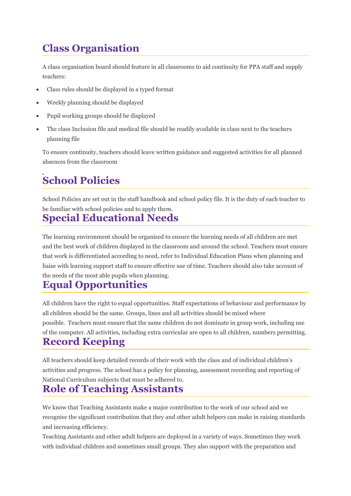## **Class Organisation**

A class organisation board should feature in all classrooms to aid continuity for PPA staff and supply teachers:

- Class rules should be displayed in a typed format
- Weekly planning should be displayed
- Pupil working groups should be displayed
- The class Inclusion file and medical file should be readily available in class next to the teachers planning file

To ensure continuity, teachers should leave written guidance and suggested activities for all planned absences from the classroom

## **School Policies**

School Policies are set out in the staff handbook and school policy file. It is the duty of each teacher to be familiar with school policies and to apply them.

## **Special Educational Needs**

The learning environment should be organised to ensure the learning needs of all children are met and the best work of children displayed in the classroom and around the school. Teachers must ensure that work is differentiated according to need, refer to Individual Education Plans when planning and liaise with learning support staff to ensure effective use of time. Teachers should also take account of the needs of the most able pupils when planning.

## **Equal Opportunities**

All children have the right to equal opportunities. Staff expectations of behaviour and performance by all children should be the same. Groups, lines and all activities should be mixed where possible. Teachers must ensure that the same children do not dominate in group work, including use of the computer. All activities, including extra curricular are open to all children, numbers permitting. **Record Keeping**

All teachers should keep detailed records of their work with the class and of individual children's activities and progress. The school has a policy for planning, assessment recording and reporting of National Curriculum subjects that must be adhered to.

## **Role of Teaching Assistants**

We know that Teaching Assistants make a major contribution to the work of our school and we recognise the significant contribution that they and other adult helpers can make in raising standards and increasing efficiency.

Teaching Assistants and other adult helpers are deployed in a variety of ways. Sometimes they work with individual children and sometimes small groups. They also support with the preparation and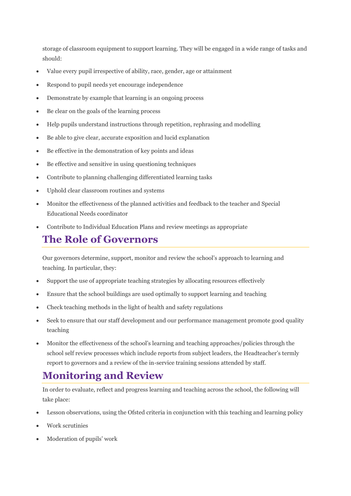storage of classroom equipment to support learning. They will be engaged in a wide range of tasks and should:

- Value every pupil irrespective of ability, race, gender, age or attainment
- Respond to pupil needs yet encourage independence
- Demonstrate by example that learning is an ongoing process
- Be clear on the goals of the learning process
- Help pupils understand instructions through repetition, rephrasing and modelling
- Be able to give clear, accurate exposition and lucid explanation
- Be effective in the demonstration of key points and ideas
- Be effective and sensitive in using questioning techniques
- Contribute to planning challenging differentiated learning tasks
- Uphold clear classroom routines and systems
- Monitor the effectiveness of the planned activities and feedback to the teacher and Special Educational Needs coordinator
- Contribute to Individual Education Plans and review meetings as appropriate

## **The Role of Governors**

Our governors determine, support, monitor and review the school's approach to learning and teaching. In particular, they:

- Support the use of appropriate teaching strategies by allocating resources effectively
- Ensure that the school buildings are used optimally to support learning and teaching
- Check teaching methods in the light of health and safety regulations
- Seek to ensure that our staff development and our performance management promote good quality teaching
- Monitor the effectiveness of the school's learning and teaching approaches/policies through the school self review processes which include reports from subject leaders, the Headteacher's termly report to governors and a review of the in-service training sessions attended by staff.

## **Monitoring and Review**

In order to evaluate, reflect and progress learning and teaching across the school, the following will take place:

- Lesson observations, using the Ofsted criteria in conjunction with this teaching and learning policy
- Work scrutinies
- Moderation of pupils' work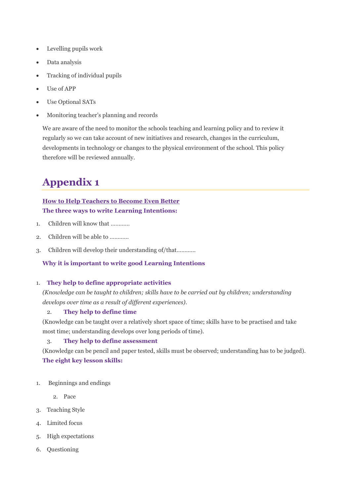- Levelling pupils work
- Data analysis
- Tracking of individual pupils
- Use of APP
- Use Optional SATs
- Monitoring teacher's planning and records

We are aware of the need to monitor the schools teaching and learning policy and to review it regularly so we can take account of new initiatives and research, changes in the curriculum, developments in technology or changes to the physical environment of the school. This policy therefore will be reviewed annually.

## **Appendix 1**

## **How to Help Teachers to Become Even Better The three ways to write Learning Intentions:**

- 1. Children will know that …………
- 2. Children will be able to
- 3. Children will develop their understanding of/that…………

## **Why it is important to write good Learning Intentions**

## 1. **They help to define appropriate activities**

*(Knowledge can be taught to children; skills have to be carried out by children; understanding develops over time as a result of different experiences).*

## 2. **They help to define time**

(Knowledge can be taught over a relatively short space of time; skills have to be practised and take most time; understanding develops over long periods of time).

## 3. **They help to define assessment**

(Knowledge can be pencil and paper tested, skills must be observed; understanding has to be judged). **The eight key lesson skills:**

- 1. Beginnings and endings
	- 2. Pace
- 3. Teaching Style
- 4. Limited focus
- 5. High expectations
- 6. Questioning